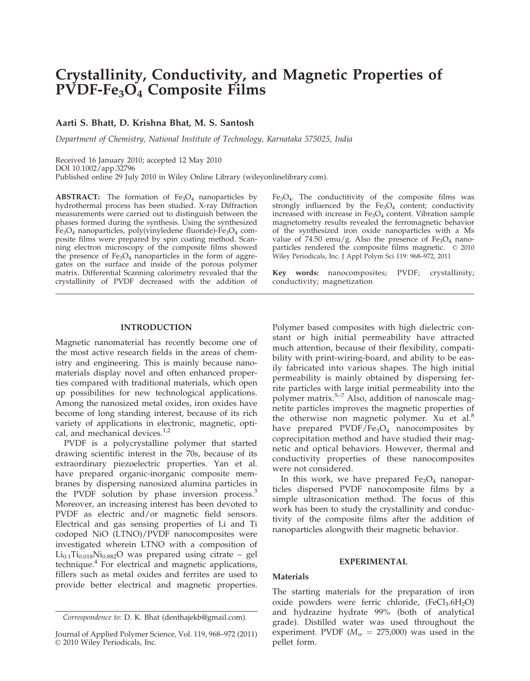# Crystallinity, Conductivity, and Magnetic Properties of  $PVDF-Fe<sub>3</sub>O<sub>4</sub>$  Composite Films

# Aarti S. Bhatt, D. Krishna Bhat, M. S. Santosh

Department of Chemistry, National Institute of Technology, Karnataka 575025, India

Received 16 January 2010; accepted 12 May 2010 DOI 10.1002/app.32796 Published online 29 July 2010 in Wiley Online Library (wileyonlinelibrary.com).

**ABSTRACT:** The formation of  $Fe<sub>3</sub>O<sub>4</sub>$  nanoparticles by hydrothermal process has been studied. X-ray Diffraction measurements were carried out to distinguish between the phases formed during the synthesis. Using the synthesized  $Fe<sub>3</sub>O<sub>4</sub>$  nanoparticles, poly(vinyledene fluoride)- $Fe<sub>3</sub>O<sub>4</sub>$  composite films were prepared by spin coating method. Scanning electron microscopy of the composite films showed the presence of  $Fe<sub>3</sub>O<sub>4</sub>$  nanoparticles in the form of aggregates on the surface and inside of the porous polymer matrix. Differential Scanning calorimetry revealed that the crystallinity of PVDF decreased with the addition of  $Fe<sub>3</sub>O<sub>4</sub>$ . The conductitivity of the composite films was strongly influenced by the  $Fe<sub>3</sub>O<sub>4</sub>$  content; conductivity increased with increase in Fe<sub>3</sub>O<sub>4</sub> content. Vibration sample magnetometry results revealed the ferromagnetic behavior of the synthesized iron oxide nanoparticles with a Ms value of 74.50 emu/g. Also the presence of  $Fe<sub>3</sub>O<sub>4</sub>$  nanoparticles rendered the composite films magnetic.  $\circ$  2010 Wiley Periodicals, Inc. J Appl Polym Sci 119: 968–972, 2011

Key words: nanocomposites; PVDF; crystallinity; conductivity; magnetization

## INTRODUCTION

Magnetic nanomaterial has recently become one of the most active research fields in the areas of chemistry and engineering. This is mainly because nanomaterials display novel and often enhanced properties compared with traditional materials, which open up possibilities for new technological applications. Among the nanosized metal oxides, iron oxides have become of long standing interest, because of its rich variety of applications in electronic, magnetic, optical, and mechanical devices. $1,2$ 

PVDF is a polycrystalline polymer that started drawing scientific interest in the 70s, because of its extraordinary piezoelectric properties. Yan et al. have prepared organic-inorganic composite membranes by dispersing nanosized alumina particles in the PVDF solution by phase inversion process.<sup>3</sup> Moreover, an increasing interest has been devoted to PVDF as electric and/or magnetic field sensors. Electrical and gas sensing properties of Li and Ti codoped NiO (LTNO)/PVDF nanocomposites were investigated wherein LTNO with a composition of Li0.1Ti0.018Ni0.882O was prepared using citrate – gel technique.<sup>4</sup> For electrical and magnetic applications, fillers such as metal oxides and ferrites are used to provide better electrical and magnetic properties.

Polymer based composites with high dielectric constant or high initial permeability have attracted much attention, because of their flexibility, compatibility with print-wiring-board, and ability to be easily fabricated into various shapes. The high initial permeability is mainly obtained by dispersing ferrite particles with large initial permeability into the polymer matrix.<sup>5-7</sup> Also, addition of nanoscale magnetite particles improves the magnetic properties of the otherwise non magnetic polymer. Xu et al. $8$ have prepared  $PVDF/Fe<sub>3</sub>O<sub>4</sub>$  nanocomposites by coprecipitation method and have studied their magnetic and optical behaviors. However, thermal and conductivity properties of these nanocomposites were not considered.

In this work, we have prepared  $Fe<sub>3</sub>O<sub>4</sub>$  nanoparticles dispersed PVDF nanocomposite films by a simple ultrasonication method. The focus of this work has been to study the crystallinity and conductivity of the composite films after the addition of nanoparticles alongwith their magnetic behavior.

## EXPERIMENTAL

# Materials

The starting materials for the preparation of iron oxide powders were ferric chloride,  $(FeCl<sub>3</sub>.6H<sub>2</sub>O)$ and hydrazine hydrate 99% (both of analytical grade). Distilled water was used throughout the experiment. PVDF ( $M_w = 275,000$ ) was used in the pellet form.

Correspondence to: D. K. Bhat (denthajekb@gmail.com).

Journal of Applied Polymer Science, Vol. 119, 968–972 (2011)  $©$  2010 Wiley Periodicals, Inc.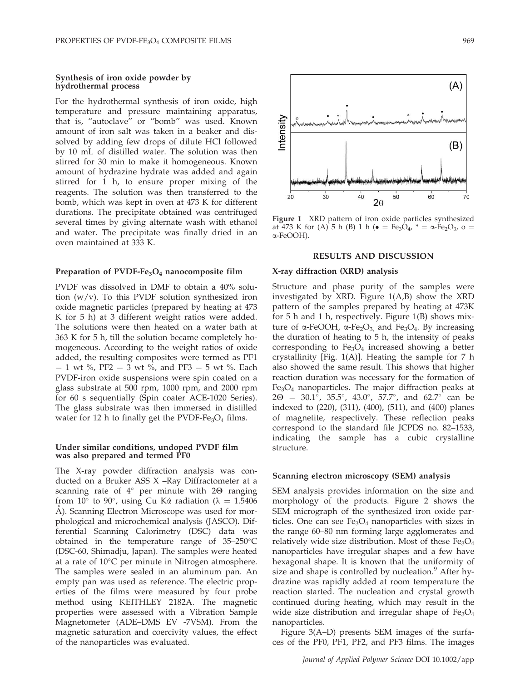### Synthesis of iron oxide powder by hydrothermal process

For the hydrothermal synthesis of iron oxide, high temperature and pressure maintaining apparatus, that is, ''autoclave'' or ''bomb'' was used. Known amount of iron salt was taken in a beaker and dissolved by adding few drops of dilute HCl followed by 10 mL of distilled water. The solution was then stirred for 30 min to make it homogeneous. Known amount of hydrazine hydrate was added and again stirred for 1 h, to ensure proper mixing of the reagents. The solution was then transferred to the bomb, which was kept in oven at 473 K for different durations. The precipitate obtained was centrifuged several times by giving alternate wash with ethanol and water. The precipitate was finally dried in an oven maintained at 333 K.

#### Preparation of PVDF-Fe<sub>3</sub>O<sub>4</sub> nanocomposite film

PVDF was dissolved in DMF to obtain a 40% solution  $(w/v)$ . To this PVDF solution synthesized iron oxide magnetic particles (prepared by heating at 473 K for 5 h) at 3 different weight ratios were added. The solutions were then heated on a water bath at 363 K for 5 h, till the solution became completely homogeneous. According to the weight ratios of oxide added, the resulting composites were termed as PF1  $= 1$  wt %, PF2  $= 3$  wt %, and PF3  $= 5$  wt %. Each PVDF-iron oxide suspensions were spin coated on a glass substrate at 500 rpm, 1000 rpm, and 2000 rpm for 60 s sequentially (Spin coater ACE-1020 Series). The glass substrate was then immersed in distilled water for 12 h to finally get the PVDF-Fe<sub>3</sub>O<sub>4</sub> films.

## Under similar conditions, undoped PVDF film was also prepared and termed PF0

The X-ray powder diffraction analysis was conducted on a Bruker ASS X –Ray Diffractometer at a scanning rate of  $4^{\circ}$  per minute with 2 $\Theta$  ranging from 10° to 90°, using Cu K $\alpha$  radiation ( $\lambda = 1.5406$ ) A). Scanning Electron Microscope was used for morphological and microchemical analysis (JASCO). Differential Scanning Calorimetry (DSC) data was obtained in the temperature range of  $35-250^{\circ}$ C (DSC-60, Shimadju, Japan). The samples were heated at a rate of  $10^{\circ}$ C per minute in Nitrogen atmosphere. The samples were sealed in an aluminum pan. An empty pan was used as reference. The electric properties of the films were measured by four probe method using KEITHLEY 2182A. The magnetic properties were assessed with a Vibration Sample Magnetometer (ADE–DMS EV -7VSM). From the magnetic saturation and coercivity values, the effect of the nanoparticles was evaluated.



Figure 1 XRD pattern of iron oxide particles synthesized at 473 K for (A) 5 h (B) 1 h ( $\bullet = \text{Fe}_3\text{O}_4$ ,  $* = \alpha\text{-Fe}_2\text{O}_3$ ,  $\alpha =$ a-FeOOH).

# RESULTS AND DISCUSSION

#### X-ray diffraction (XRD) analysis

Structure and phase purity of the samples were investigated by XRD. Figure 1(A,B) show the XRD pattern of the samples prepared by heating at 473K for 5 h and 1 h, respectively. Figure 1(B) shows mixture of  $\alpha$ -FeOOH,  $\alpha$ -Fe<sub>2</sub>O<sub>3</sub>, and Fe<sub>3</sub>O<sub>4</sub>. By increasing the duration of heating to 5 h, the intensity of peaks corresponding to  $Fe<sub>3</sub>O<sub>4</sub>$  increased showing a better crystallinity [Fig. 1(A)]. Heating the sample for 7 h also showed the same result. This shows that higher reaction duration was necessary for the formation of  $Fe<sub>3</sub>O<sub>4</sub>$  nanoparticles. The major diffraction peaks at  $2\Theta = 30.1^{\circ}$ , 35.5°, 43.0°, 57.7°, and 62.7° can be indexed to (220), (311), (400), (511), and (400) planes of magnetite, respectively. These reflection peaks correspond to the standard file JCPDS no. 82–1533, indicating the sample has a cubic crystalline structure.

#### Scanning electron microscopy (SEM) analysis

SEM analysis provides information on the size and morphology of the products. Figure 2 shows the SEM micrograph of the synthesized iron oxide particles. One can see  $Fe<sub>3</sub>O<sub>4</sub>$  nanoparticles with sizes in the range 60–80 nm forming large agglomerates and relatively wide size distribution. Most of these  $Fe<sub>3</sub>O<sub>4</sub>$ nanoparticles have irregular shapes and a few have hexagonal shape. It is known that the uniformity of size and shape is controlled by nucleation. $9$  After hydrazine was rapidly added at room temperature the reaction started. The nucleation and crystal growth continued during heating, which may result in the wide size distribution and irregular shape of  $Fe<sub>3</sub>O<sub>4</sub>$ nanoparticles.

Figure 3(A–D) presents SEM images of the surfaces of the PF0, PF1, PF2, and PF3 films. The images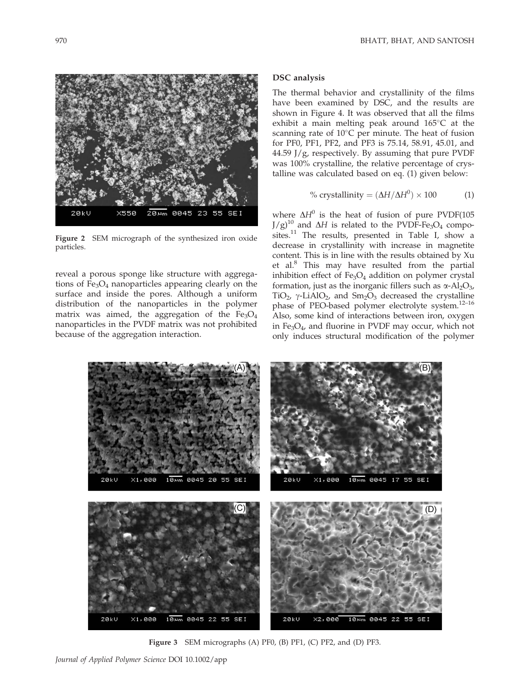

Figure 2 SEM micrograph of the synthesized iron oxide particles.

reveal a porous sponge like structure with aggregations of  $Fe<sub>3</sub>O<sub>4</sub>$  nanoparticles appearing clearly on the surface and inside the pores. Although a uniform distribution of the nanoparticles in the polymer matrix was aimed, the aggregation of the  $Fe<sub>3</sub>O<sub>4</sub>$ nanoparticles in the PVDF matrix was not prohibited because of the aggregation interaction.

## DSC analysis

The thermal behavior and crystallinity of the films have been examined by DSC, and the results are shown in Figure 4. It was observed that all the films exhibit a main melting peak around  $165^{\circ}$ C at the scanning rate of  $10^{\circ}$ C per minute. The heat of fusion for PF0, PF1, PF2, and PF3 is 75.14, 58.91, 45.01, and 44.59 J/g, respectively. By assuming that pure PVDF was 100% crystalline, the relative percentage of crystalline was calculated based on eq. (1) given below:

% crystallinity = 
$$
(\Delta H / \Delta H^0) \times 100
$$
 (1)

where  $\Delta H^0$  is the heat of fusion of pure PVDF(105  $J/g$ <sup>10</sup> and  $\Delta H$  is related to the PVDF-Fe<sub>3</sub>O<sub>4</sub> composites.<sup>11</sup> The results, presented in Table I, show a decrease in crystallinity with increase in magnetite content. This is in line with the results obtained by Xu et al.<sup>8</sup> This may have resulted from the partial inhibition effect of  $Fe<sub>3</sub>O<sub>4</sub>$  addition on polymer crystal formation, just as the inorganic fillers such as  $\alpha$ -Al<sub>2</sub>O<sub>3</sub>, TiO<sub>2</sub>,  $\gamma$ -LiAlO<sub>2</sub>, and Sm<sub>2</sub>O<sub>3</sub> decreased the crystalline phase of PEO-based polymer electrolyte system.12–16 Also, some kind of interactions between iron, oxygen in  $Fe<sub>3</sub>O<sub>4</sub>$ , and fluorine in PVDF may occur, which not only induces structural modification of the polymer



Figure 3 SEM micrographs (A) PF0, (B) PF1, (C) PF2, and (D) PF3.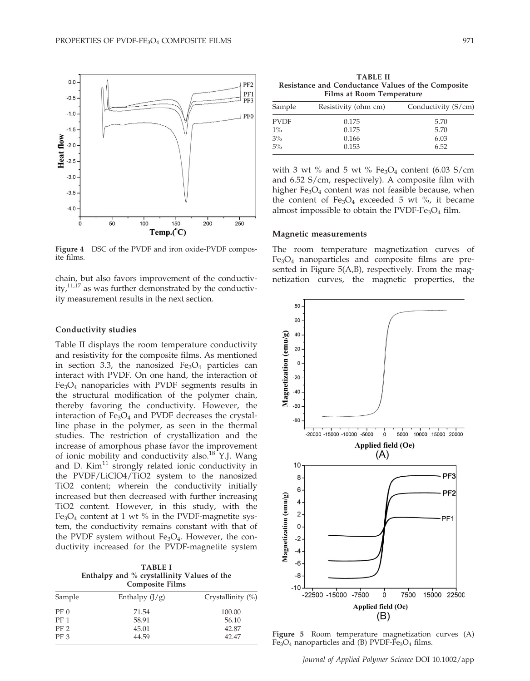

Figure 4 DSC of the PVDF and iron oxide-PVDF composite films.

chain, but also favors improvement of the conductivity, $11,17$  as was further demonstrated by the conductivity measurement results in the next section.

## Conductivity studies

Table II displays the room temperature conductivity and resistivity for the composite films. As mentioned in section 3.3, the nanosized  $Fe<sub>3</sub>O<sub>4</sub>$  particles can interact with PVDF. On one hand, the interaction of Fe3O4 nanoparicles with PVDF segments results in the structural modification of the polymer chain, thereby favoring the conductivity. However, the interaction of  $Fe<sub>3</sub>O<sub>4</sub>$  and PVDF decreases the crystalline phase in the polymer, as seen in the thermal studies. The restriction of crystallization and the increase of amorphous phase favor the improvement of ionic mobility and conductivity also.<sup>18</sup> Y.J. Wang and D.  $Kim<sup>11</sup>$  strongly related ionic conductivity in the PVDF/LiClO4/TiO2 system to the nanosized TiO2 content; wherein the conductivity initially increased but then decreased with further increasing TiO2 content. However, in this study, with the Fe<sub>3</sub>O<sub>4</sub> content at 1 wt  $%$  in the PVDF-magnetite system, the conductivity remains constant with that of the PVDF system without  $Fe<sub>3</sub>O<sub>4</sub>$ . However, the conductivity increased for the PVDF-magnetite system

TABLE I Enthalpy and % crystallinity Values of the Composite Films

| Sample          | Enthalpy $(J/g)$ | Crystallinity $(\%)$ |  |  |
|-----------------|------------------|----------------------|--|--|
| PF <sub>0</sub> | 71.54            | 100.00               |  |  |
| <b>PF</b> 1     | 58.91            | 56.10                |  |  |
| PF 2            | 45.01            | 42.87                |  |  |
| PF <sub>3</sub> | 44.59            | 42.47                |  |  |

TABLE II Resistance and Conductance Values of the Composite Films at Room Temperature

| Sample      | Resistivity (ohm cm) | Conductivity (S/cm) |  |
|-------------|----------------------|---------------------|--|
| <b>PVDF</b> | 0.175                | 5.70                |  |
| $1\%$       | 0.175                | 5.70                |  |
| 3%          | 0.166                | 6.03                |  |
| 5%          | 0.153                | 6.52                |  |
|             |                      |                     |  |

with 3 wt % and 5 wt %  $Fe<sub>3</sub>O<sub>4</sub>$  content (6.03 S/cm and 6.52 S/cm, respectively). A composite film with higher  $Fe<sub>3</sub>O<sub>4</sub>$  content was not feasible because, when the content of  $Fe<sub>3</sub>O<sub>4</sub>$  exceeded 5 wt %, it became almost impossible to obtain the PVDF-Fe<sub>3</sub>O<sub>4</sub> film.

#### Magnetic measurements

The room temperature magnetization curves of Fe3O4 nanoparticles and composite films are presented in Figure 5(A,B), respectively. From the magnetization curves, the magnetic properties, the



Figure 5 Room temperature magnetization curves (A)  $Fe<sub>3</sub>O<sub>4</sub>$  nanoparticles and (B) PVDF-Fe<sub>3</sub>O<sub>4</sub> films.